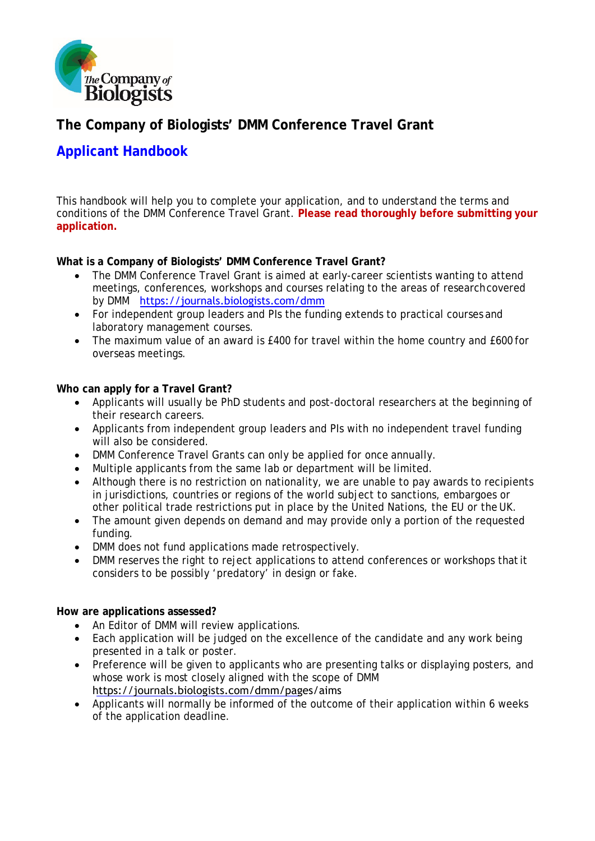

# **The Company of Biologists' DMM Conference Travel Grant**

# **Applicant Handbook**

This handbook will help you to complete your application, and to understand the terms and conditions of the DMM Conference Travel Grant. **Please read thoroughly before submitting your application.**

## **What is a Company of Biologists' DMM Conference Travel Grant?**

- The DMM Conference Travel Grant is aimed at early-career scientists wanting to attend meetings, conferences, workshops and courses relating to the areas of researchcovered by DMM [https://journals.biologists.com/dmm](https://www.biologists.com/disease-models-mechanisms/)
- For independent group leaders and PIs the funding extends to practical courses and laboratory management courses.
- The maximum value of an award is £400 for travel within the home country and £600 for overseas meetings.

#### **Who can apply for a Travel Grant?**

- Applicants will usually be PhD students and post-doctoral researchers at the beginning of their research careers.
- Applicants from independent group leaders and PIs with no independent travel funding will also be considered.
- DMM Conference Travel Grants can only be applied for once annually.
- Multiple applicants from the same lab or department will be limited.
- Although there is no restriction on nationality, we are unable to pay awards to recipients in jurisdictions, countries or regions of the world subject to sanctions, embargoes or other political trade restrictions put in place by the United Nations, the EU or the UK.
- The amount given depends on demand and may provide only a portion of the requested funding.
- DMM does not fund applications made retrospectively.
- DMM reserves the right to reject applications to attend conferences or workshops that it considers to be possibly 'predatory' in design or fake.

#### **How are applications assessed?**

- An Editor of DMM will review applications.
- Each application will be judged on the excellence of the candidate and any work being presented in a talk or poster.
- Preference will be given to applicants who are presenting talks or displaying posters, and whose work is most closely aligned with the scope of DMM https://journals.biologists.com/dmm/pages/aims
- Applicants will normally be informed of the outcome of their application within 6 weeks of the application deadline.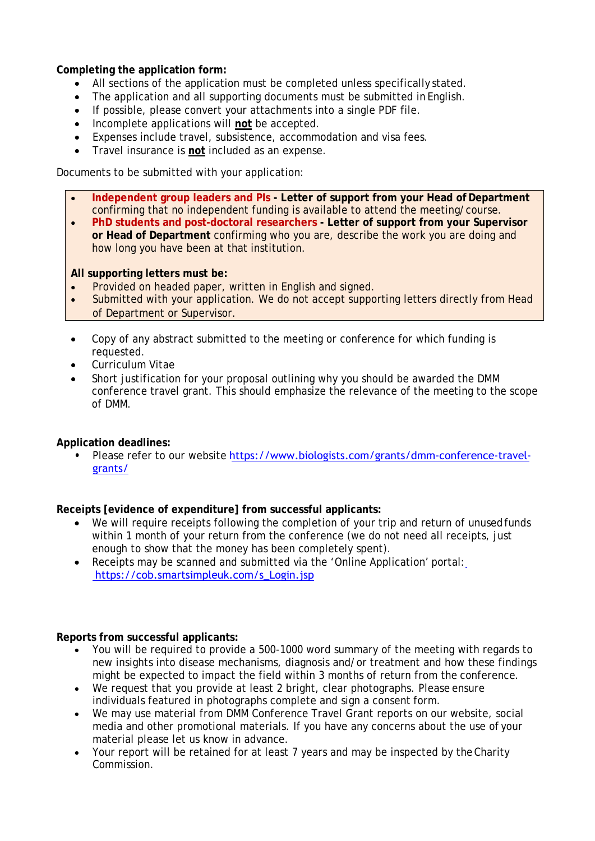**Completing the application form:**

- All sections of the application must be completed unless specifically stated.
- The application and all supporting documents must be submitted in English.
- If possible, please convert your attachments into a single PDF file.
- Incomplete applications will **not** be accepted.
- Expenses include travel, subsistence, accommodation and visa fees.
- Travel insurance is **not** included as an expense.

Documents to be submitted with your application:

- **Independent group leaders and PIs - Letter of support from your Head of Department** confirming that no independent funding is available to attend the meeting/course.
- **PhD students and post-doctoral researchers Letter of support from your Supervisor or Head of Department** confirming who you are, describe the work you are doing and how long you have been at that institution.

### **All supporting letters must be:**

- Provided on headed paper, written in English and signed.
- Submitted with your application. We do not accept supporting letters directly from Head of Department or Supervisor.
- Copy of any abstract submitted to the meeting or conference for which funding is requested.
- Curriculum Vitae
- Short justification for your proposal outlining why you should be awarded the DMM conference travel grant. This should emphasize the relevance of the meeting to the scope of DMM.

## **Application deadlines:**

**•** Please refer to our website [https://www.biologists.com/grants/dmm-conference-travel](https://www.biologists.com/grants/dmm-conference-travel-grants/)[grants/](https://www.biologists.com/grants/dmm-conference-travel-grants/)

## **Receipts [evidence of expenditure] from successful applicants:**

- We will require receipts following the completion of your trip and return of unusedfunds within 1 month of your return from the conference (we do not need all receipts, just enough to show that the money has been completely spent).
- Receipts may be scanned and submitted via the 'Online Application' portal:  [https://cob.smartsimpleuk.com/s\\_Login.jsp](https://www.biologists.com/grants/dmm-conference-travel-grants/)

## **Reports from successful applicants:**

- You will be required to provide a 500-1000 word summary of the meeting with regards to new insights into disease mechanisms, diagnosis and/or treatment and how these findings might be expected to impact the field within 3 months of return from the conference.
- We request that you provide at least 2 bright, clear photographs. Please ensure individuals featured in photographs complete and sign a consent form.
- We may use material from DMM Conference Travel Grant reports on our website, social media and other promotional materials. If you have any concerns about the use of your material please let us know in advance.
- Your report will be retained for at least 7 years and may be inspected by theCharity Commission.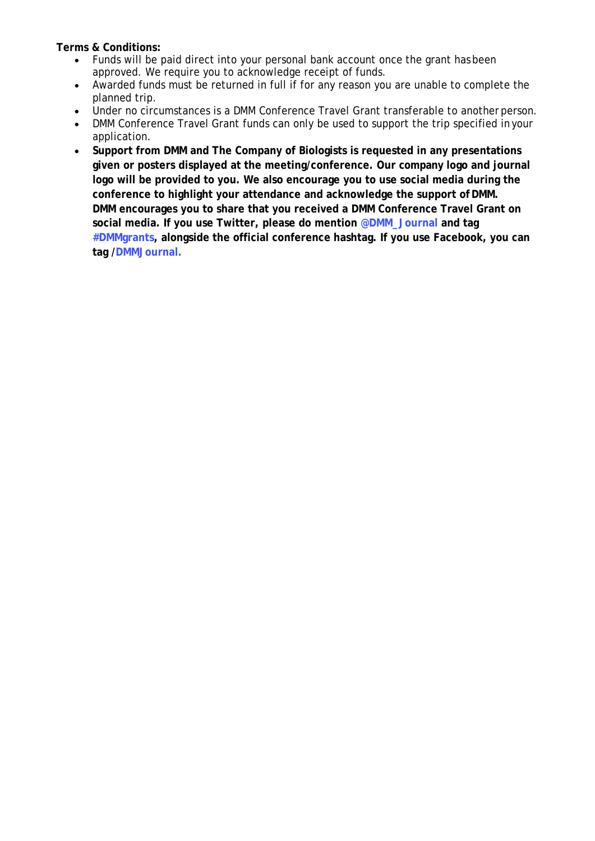**Terms & Conditions:**

- Funds will be paid direct into your personal bank account once the grant has been approved. We require you to acknowledge receipt of funds.
- Awarded funds must be returned in full if for any reason you are unable to complete the planned trip.
- Under no circumstances is a DMM Conference Travel Grant transferable to another person.<br>• DMM Conference Travel Grant funds can only be used to support the trip specified in your
- DMM Conference Travel Grant funds can only be used to support the trip specified in your application.
- **Support from DMM and The Company of Biologists is requested in any presentations given or posters displayed at the meeting/conference. Our company logo and journal logo will be provided to you. We also encourage you to use social media during the conference to highlight your attendance and acknowledge the support ofDMM. DMM encourages you to share that you received a DMM Conference Travel Grant on social media. If you use Twitter, please do mention @DMM\_Journal and tag #DMMgrants, alongside the official conference hashtag. If you use Facebook, you can tag /DMMJournal.**